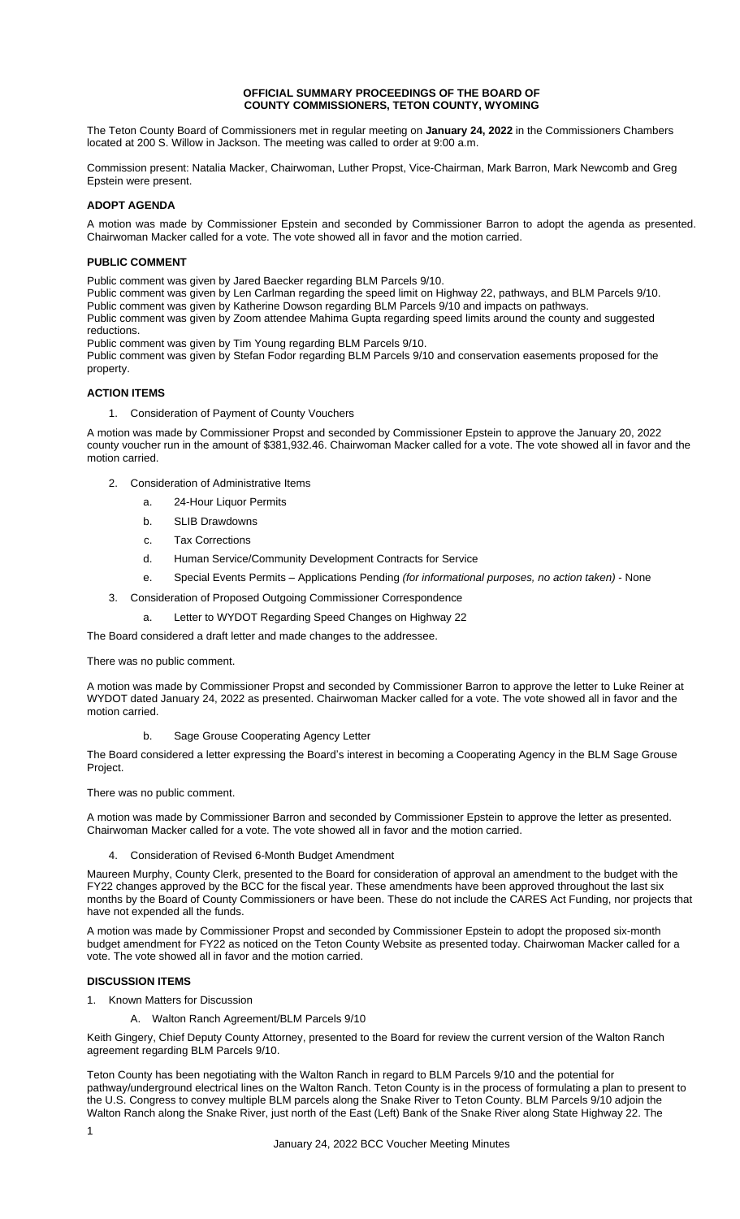### **OFFICIAL SUMMARY PROCEEDINGS OF THE BOARD OF COUNTY COMMISSIONERS, TETON COUNTY, WYOMING**

The Teton County Board of Commissioners met in regular meeting on **January 24, 2022** in the Commissioners Chambers located at 200 S. Willow in Jackson. The meeting was called to order at 9:00 a.m.

Commission present: Natalia Macker, Chairwoman, Luther Propst, Vice-Chairman, Mark Barron, Mark Newcomb and Greg Epstein were present.

## **ADOPT AGENDA**

A motion was made by Commissioner Epstein and seconded by Commissioner Barron to adopt the agenda as presented. Chairwoman Macker called for a vote. The vote showed all in favor and the motion carried.

### **PUBLIC COMMENT**

Public comment was given by Jared Baecker regarding BLM Parcels 9/10.

Public comment was given by Len Carlman regarding the speed limit on Highway 22, pathways, and BLM Parcels 9/10.

Public comment was given by Katherine Dowson regarding BLM Parcels 9/10 and impacts on pathways.

Public comment was given by Zoom attendee Mahima Gupta regarding speed limits around the county and suggested reductions.

Public comment was given by Tim Young regarding BLM Parcels 9/10.

Public comment was given by Stefan Fodor regarding BLM Parcels 9/10 and conservation easements proposed for the property.

## **ACTION ITEMS**

1. Consideration of Payment of County Vouchers

A motion was made by Commissioner Propst and seconded by Commissioner Epstein to approve the January 20, 2022 county voucher run in the amount of \$381,932.46. Chairwoman Macker called for a vote. The vote showed all in favor and the motion carried.

- 2. Consideration of Administrative Items
	- a. 24-Hour Liquor Permits
	- b. SLIB Drawdowns
	- c. Tax Corrections
	- d. Human Service/Community Development Contracts for Service
	- e. Special Events Permits Applications Pending *(for informational purposes, no action taken)* None
- 3. Consideration of Proposed Outgoing Commissioner Correspondence
	- a. Letter to WYDOT Regarding Speed Changes on Highway 22

The Board considered a draft letter and made changes to the addressee.

There was no public comment.

A motion was made by Commissioner Propst and seconded by Commissioner Barron to approve the letter to Luke Reiner at WYDOT dated January 24, 2022 as presented. Chairwoman Macker called for a vote. The vote showed all in favor and the motion carried.

b. Sage Grouse Cooperating Agency Letter

The Board considered a letter expressing the Board's interest in becoming a Cooperating Agency in the BLM Sage Grouse Project.

There was no public comment.

A motion was made by Commissioner Barron and seconded by Commissioner Epstein to approve the letter as presented. Chairwoman Macker called for a vote. The vote showed all in favor and the motion carried.

4. Consideration of Revised 6-Month Budget Amendment

Maureen Murphy, County Clerk, presented to the Board for consideration of approval an amendment to the budget with the FY22 changes approved by the BCC for the fiscal year. These amendments have been approved throughout the last six months by the Board of County Commissioners or have been. These do not include the CARES Act Funding, nor projects that have not expended all the funds.

A motion was made by Commissioner Propst and seconded by Commissioner Epstein to adopt the proposed six-month budget amendment for FY22 as noticed on the Teton County Website as presented today. Chairwoman Macker called for a vote. The vote showed all in favor and the motion carried.

# **DISCUSSION ITEMS**

- 1. Known Matters for Discussion
	- A. Walton Ranch Agreement/BLM Parcels 9/10

Keith Gingery, Chief Deputy County Attorney, presented to the Board for review the current version of the Walton Ranch agreement regarding BLM Parcels 9/10.

Teton County has been negotiating with the Walton Ranch in regard to BLM Parcels 9/10 and the potential for pathway/underground electrical lines on the Walton Ranch. Teton County is in the process of formulating a plan to present to the U.S. Congress to convey multiple BLM parcels along the Snake River to Teton County. BLM Parcels 9/10 adjoin the Walton Ranch along the Snake River, just north of the East (Left) Bank of the Snake River along State Highway 22. The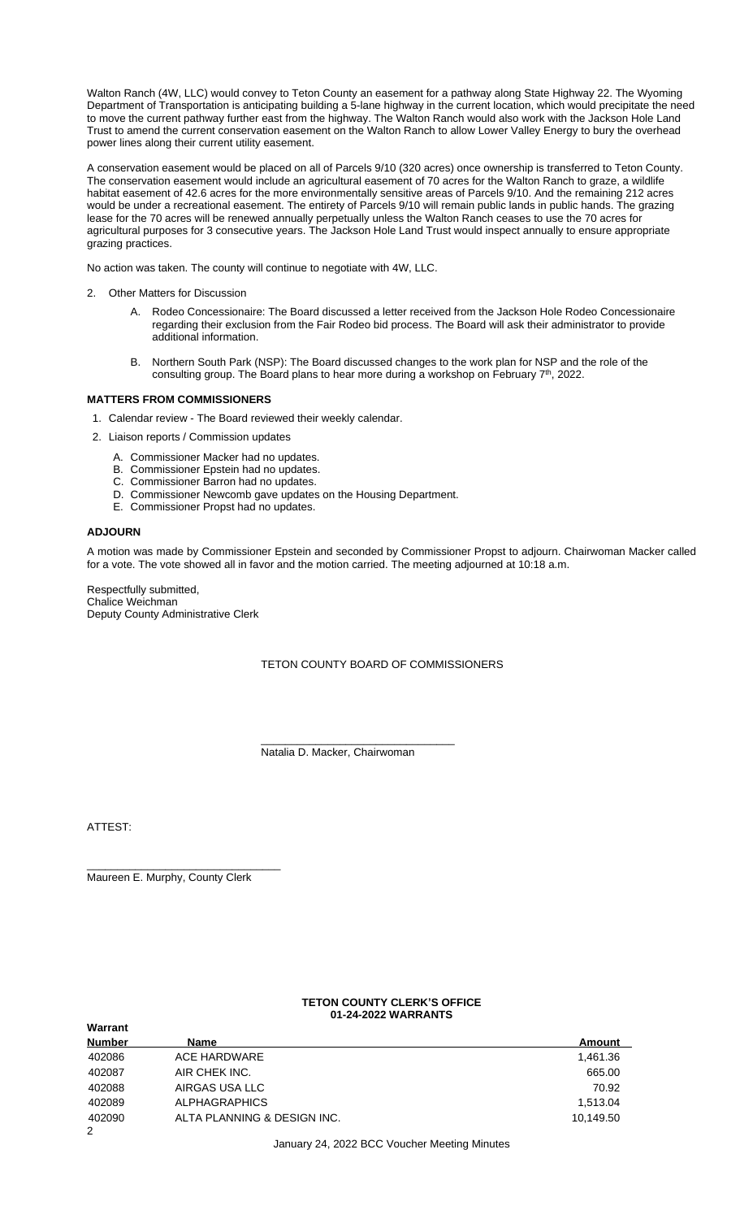Walton Ranch (4W, LLC) would convey to Teton County an easement for a pathway along State Highway 22. The Wyoming Department of Transportation is anticipating building a 5-lane highway in the current location, which would precipitate the need to move the current pathway further east from the highway. The Walton Ranch would also work with the Jackson Hole Land Trust to amend the current conservation easement on the Walton Ranch to allow Lower Valley Energy to bury the overhead power lines along their current utility easement.

A conservation easement would be placed on all of Parcels 9/10 (320 acres) once ownership is transferred to Teton County. The conservation easement would include an agricultural easement of 70 acres for the Walton Ranch to graze, a wildlife habitat easement of 42.6 acres for the more environmentally sensitive areas of Parcels 9/10. And the remaining 212 acres would be under a recreational easement. The entirety of Parcels 9/10 will remain public lands in public hands. The grazing lease for the 70 acres will be renewed annually perpetually unless the Walton Ranch ceases to use the 70 acres for agricultural purposes for 3 consecutive years. The Jackson Hole Land Trust would inspect annually to ensure appropriate grazing practices.

No action was taken. The county will continue to negotiate with 4W, LLC.

- 2. Other Matters for Discussion
	- A. Rodeo Concessionaire: The Board discussed a letter received from the Jackson Hole Rodeo Concessionaire regarding their exclusion from the Fair Rodeo bid process. The Board will ask their administrator to provide additional information.
	- B. Northern South Park (NSP): The Board discussed changes to the work plan for NSP and the role of the consulting group. The Board plans to hear more during a workshop on February  $7<sup>th</sup>$ , 2022.

## **MATTERS FROM COMMISSIONERS**

- 1. Calendar review The Board reviewed their weekly calendar.
- 2. Liaison reports / Commission updates
	- A. Commissioner Macker had no updates.
	- B. Commissioner Epstein had no updates.
	- C. Commissioner Barron had no updates.
	- D. Commissioner Newcomb gave updates on the Housing Department.
	- E. Commissioner Propst had no updates.

### **ADJOURN**

A motion was made by Commissioner Epstein and seconded by Commissioner Propst to adjourn. Chairwoman Macker called for a vote. The vote showed all in favor and the motion carried. The meeting adjourned at 10:18 a.m.

Respectfully submitted, Chalice Weichman Deputy County Administrative Clerk

TETON COUNTY BOARD OF COMMISSIONERS

\_\_\_\_\_\_\_\_\_\_\_\_\_\_\_\_\_\_\_\_\_\_\_\_\_\_\_\_\_\_\_\_ Natalia D. Macker, Chairwoman

ATTEST:

**Warrant**

\_\_\_\_\_\_\_\_\_\_\_\_\_\_\_\_\_\_\_\_\_\_\_\_\_\_\_\_\_\_\_\_ Maureen E. Murphy, County Clerk

### **TETON COUNTY CLERK'S OFFICE 01-24-2022 WARRANTS**

| 119911911L    |                             |           |
|---------------|-----------------------------|-----------|
| <b>Number</b> | Name                        | Amount    |
| 402086        | ACE HARDWARE                | 1,461.36  |
| 402087        | AIR CHEK INC.               | 665.00    |
| 402088        | AIRGAS USA LLC              | 70.92     |
| 402089        | <b>ALPHAGRAPHICS</b>        | 1.513.04  |
| 402090        | ALTA PLANNING & DESIGN INC. | 10,149.50 |
| 2             |                             |           |

January 24, 2022 BCC Voucher Meeting Minutes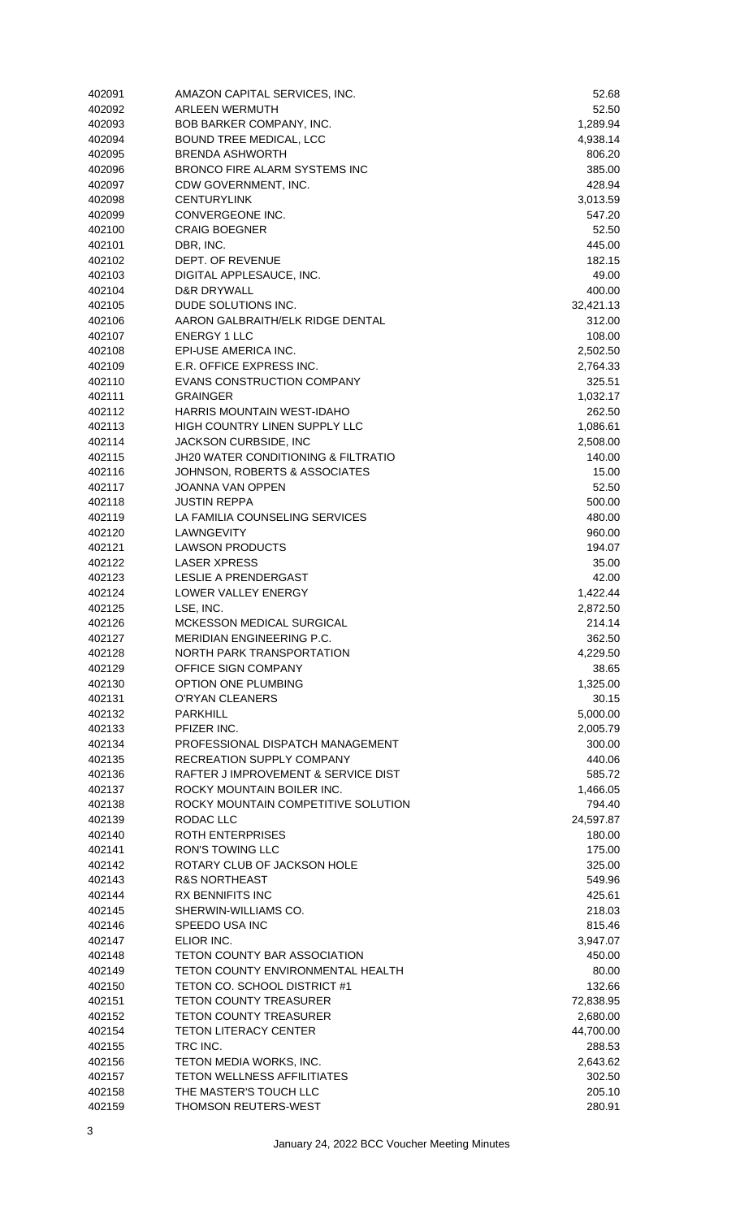| 402091 | AMAZON CAPITAL SERVICES, INC.       | 52.68     |
|--------|-------------------------------------|-----------|
| 402092 | <b>ARLEEN WERMUTH</b>               | 52.50     |
| 402093 | BOB BARKER COMPANY, INC.            | 1,289.94  |
| 402094 | BOUND TREE MEDICAL, LCC             | 4,938.14  |
| 402095 | <b>BRENDA ASHWORTH</b>              | 806.20    |
| 402096 | BRONCO FIRE ALARM SYSTEMS INC       | 385.00    |
| 402097 | CDW GOVERNMENT, INC.                | 428.94    |
| 402098 | <b>CENTURYLINK</b>                  | 3,013.59  |
| 402099 | CONVERGEONE INC.                    | 547.20    |
| 402100 | <b>CRAIG BOEGNER</b>                | 52.50     |
| 402101 | DBR, INC.                           | 445.00    |
| 402102 | DEPT. OF REVENUE                    | 182.15    |
| 402103 | DIGITAL APPLESAUCE, INC.            | 49.00     |
| 402104 | D&R DRYWALL                         | 400.00    |
| 402105 | DUDE SOLUTIONS INC.                 | 32,421.13 |
| 402106 | AARON GALBRAITH/ELK RIDGE DENTAL    | 312.00    |
| 402107 | <b>ENERGY 1 LLC</b>                 | 108.00    |
| 402108 | EPI-USE AMERICA INC.                | 2,502.50  |
| 402109 | E.R. OFFICE EXPRESS INC.            | 2,764.33  |
| 402110 | EVANS CONSTRUCTION COMPANY          | 325.51    |
| 402111 | <b>GRAINGER</b>                     | 1,032.17  |
| 402112 | HARRIS MOUNTAIN WEST-IDAHO          | 262.50    |
| 402113 | HIGH COUNTRY LINEN SUPPLY LLC       | 1,086.61  |
| 402114 | JACKSON CURBSIDE, INC               | 2,508.00  |
| 402115 | JH20 WATER CONDITIONING & FILTRATIO | 140.00    |
| 402116 | JOHNSON, ROBERTS & ASSOCIATES       | 15.00     |
| 402117 | <b>JOANNA VAN OPPEN</b>             | 52.50     |
| 402118 | <b>JUSTIN REPPA</b>                 | 500.00    |
| 402119 | LA FAMILIA COUNSELING SERVICES      | 480.00    |
| 402120 | LAWNGEVITY                          | 960.00    |
| 402121 | <b>LAWSON PRODUCTS</b>              | 194.07    |
| 402122 | <b>LASER XPRESS</b>                 | 35.00     |
| 402123 | LESLIE A PRENDERGAST                | 42.00     |
| 402124 | LOWER VALLEY ENERGY                 | 1,422.44  |
| 402125 | LSE, INC.                           | 2,872.50  |
| 402126 | <b>MCKESSON MEDICAL SURGICAL</b>    | 214.14    |
| 402127 | MERIDIAN ENGINEERING P.C.           | 362.50    |
| 402128 | NORTH PARK TRANSPORTATION           | 4,229.50  |
| 402129 | OFFICE SIGN COMPANY                 | 38.65     |
| 402130 | OPTION ONE PLUMBING                 | 1,325.00  |
| 402131 | O'RYAN CLEANERS                     | 30.15     |
| 402132 | <b>PARKHILL</b>                     | 5,000.00  |
| 402133 | PFIZER INC.                         | 2,005.79  |
| 402134 | PROFESSIONAL DISPATCH MANAGEMENT    | 300.00    |
| 402135 | <b>RECREATION SUPPLY COMPANY</b>    | 440.06    |
| 402136 | RAFTER JIMPROVEMENT & SERVICE DIST  | 585.72    |
| 402137 | ROCKY MOUNTAIN BOILER INC.          | 1,466.05  |
| 402138 | ROCKY MOUNTAIN COMPETITIVE SOLUTION | 794.40    |
| 402139 | RODAC LLC                           | 24,597.87 |
| 402140 | <b>ROTH ENTERPRISES</b>             | 180.00    |
| 402141 | <b>RON'S TOWING LLC</b>             | 175.00    |
| 402142 | ROTARY CLUB OF JACKSON HOLE         | 325.00    |
| 402143 | <b>R&amp;S NORTHEAST</b>            | 549.96    |
| 402144 | <b>RX BENNIFITS INC</b>             | 425.61    |
| 402145 | SHERWIN-WILLIAMS CO.                | 218.03    |
| 402146 | SPEEDO USA INC                      | 815.46    |
| 402147 | ELIOR INC.                          | 3,947.07  |
| 402148 | TETON COUNTY BAR ASSOCIATION        | 450.00    |
| 402149 | TETON COUNTY ENVIRONMENTAL HEALTH   | 80.00     |
| 402150 | TETON CO. SCHOOL DISTRICT #1        | 132.66    |
| 402151 | <b>TETON COUNTY TREASURER</b>       | 72,838.95 |
| 402152 | <b>TETON COUNTY TREASURER</b>       | 2,680.00  |
| 402154 | <b>TETON LITERACY CENTER</b>        | 44,700.00 |
| 402155 | TRC INC.                            | 288.53    |
| 402156 | TETON MEDIA WORKS, INC.             | 2,643.62  |
| 402157 | <b>TETON WELLNESS AFFILITIATES</b>  | 302.50    |
| 402158 | THE MASTER'S TOUCH LLC              | 205.10    |
| 402159 | <b>THOMSON REUTERS-WEST</b>         | 280.91    |